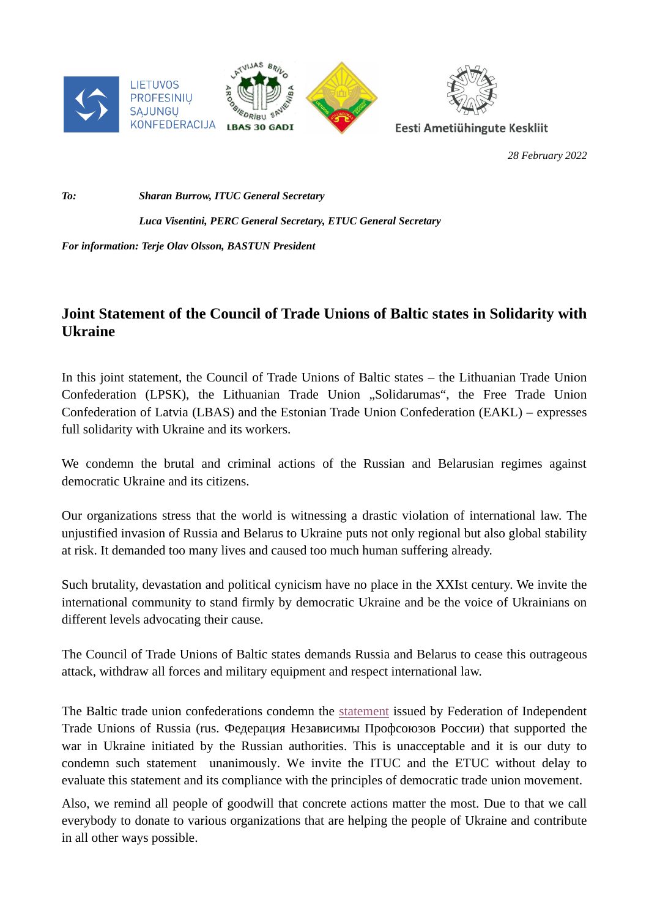

*28 February 2022*

*To: Sharan Burrow, ITUC General Secretary* 

## *Luca Visentini, PERC General Secretary, ETUC General Secretary*

## *For information: Terje Olav Olsson, BASTUN President*

## **Joint Statement of the Council of Trade Unions of Baltic states in Solidarity with Ukraine**

In this joint statement, the Council of Trade Unions of Baltic states – the Lithuanian Trade Union Confederation (LPSK), the Lithuanian Trade Union "Solidarumas", the Free Trade Union Confederation of Latvia (LBAS) and the Estonian Trade Union Confederation (EAKL) – expresses full solidarity with Ukraine and its workers.

We condemn the brutal and criminal actions of the Russian and Belarusian regimes against democratic Ukraine and its citizens.

Our organizations stress that the world is witnessing a drastic violation of international law. The unjustified invasion of Russia and Belarus to Ukraine puts not only regional but also global stability at risk. It demanded too many lives and caused too much human suffering already.

Such brutality, devastation and political cynicism have no place in the XXIst century. We invite the international community to stand firmly by democratic Ukraine and be the voice of Ukrainians on different levels advocating their cause.

The Council of Trade Unions of Baltic states demands Russia and Belarus to cease this outrageous attack, withdraw all forces and military equipment and respect international law.

The Baltic trade union confederations condemn the [statement](https://fnpr.ru/events/novosti-fnpr/o-mirotvorcheskoy-operatsii.html?sphrase_id=9566&fbclid=IwAR3I6dTTfB6QKSepv1bVSF816SRD-xDLDdtjaqxq55IpGKkQ_rdm8h7J3HI) issued by Federation of Independent Trade Unions of Russia (rus. Федерация Независимы Профсоюзов России) that supported the war in Ukraine initiated by the Russian authorities. This is unacceptable and it is our duty to condemn such statement unanimously. We invite the ITUC and the ETUC without delay to evaluate this statement and its compliance with the principles of democratic trade union movement.

Also, we remind all people of goodwill that concrete actions matter the most. Due to that we call everybody to donate to various organizations that are helping the people of Ukraine and contribute in all other ways possible.